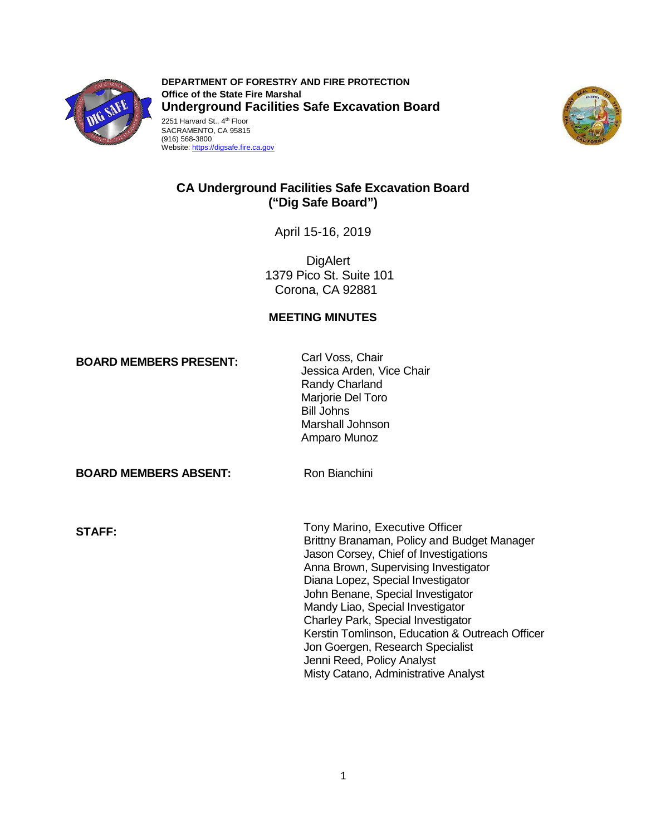

2251 Harvard St., 4<sup>th</sup> Floor SACRAMENTO, CA 95815 **DEPARTMENT OF FORESTRY AND FIRE PROTECTION Office of the State Fire Marshal Underground Facilities Safe Excavation Board** 





# **CA Underground Facilities Safe Excavation Board ("Dig Safe Board")**

April 15-16, 2019

**DigAlert** 1379 Pico St. Suite 101 Corona, CA 92881

# **MEETING MINUTES**

**BOARD MEMBERS PRESENT:** Carl Voss, Chair<br>Jessica Arden, Vice Chair Randy Charland Marjorie Del Toro Bill Johns Marshall Johnson Amparo Munoz

**BOARD MEMBERS ABSENT:** Ron Bianchini

Tony Marino, Executive Officer **STAFF:**  Brittny Branaman, Policy and Budget Manager Jason Corsey, Chief of Investigations Anna Brown, Supervising Investigator Diana Lopez, Special Investigator John Benane, Special Investigator Mandy Liao, Special Investigator Charley Park, Special Investigator Kerstin Tomlinson, Education & Outreach Officer Jon Goergen, Research Specialist Jenni Reed, Policy Analyst Misty Catano, Administrative Analyst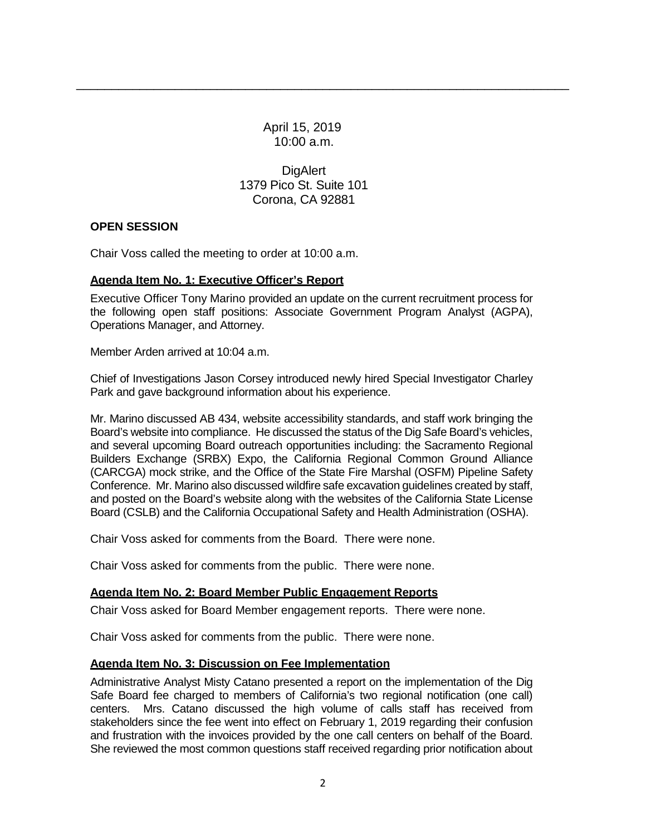April 15, 2019 10:00 a.m.

\_\_\_\_\_\_\_\_\_\_\_\_\_\_\_\_\_\_\_\_\_\_\_\_\_\_\_\_\_\_\_\_\_\_\_\_\_\_\_\_\_\_\_\_\_\_\_\_\_\_\_\_\_\_\_\_\_\_\_\_\_\_\_\_\_\_\_\_\_\_

**DigAlert** 1379 Pico St. Suite 101 Corona, CA 92881

## **OPEN SESSION**

Chair Voss called the meeting to order at 10:00 a.m.

## **Agenda Item No. 1: Executive Officer's Report**

Executive Officer Tony Marino provided an update on the current recruitment process for the following open staff positions: Associate Government Program Analyst (AGPA), Operations Manager, and Attorney.

Member Arden arrived at 10:04 a.m.

Chief of Investigations Jason Corsey introduced newly hired Special Investigator Charley Park and gave background information about his experience.

 Mr. Marino discussed AB 434, website accessibility standards, and staff work bringing the Board's website into compliance. He discussed the status of the Dig Safe Board's vehicles, Builders Exchange (SRBX) Expo, the California Regional Common Ground Alliance (CARCGA) mock strike, and the Office of the State Fire Marshal (OSFM) Pipeline Safety Conference. Mr. Marino also discussed wildfire safe excavation guidelines created by staff, Board (CSLB) and the California Occupational Safety and Health Administration (OSHA). and several upcoming Board outreach opportunities including: the Sacramento Regional and posted on the Board's website along with the websites of the California State License

Chair Voss asked for comments from the Board. There were none.

Chair Voss asked for comments from the public. There were none.

# **Agenda Item No. 2: Board Member Public Engagement Reports**

Chair Voss asked for Board Member engagement reports. There were none.

Chair Voss asked for comments from the public. There were none.

# **Agenda Item No. 3: Discussion on Fee Implementation**

 Administrative Analyst Misty Catano presented a report on the implementation of the Dig Safe Board fee charged to members of California's two regional notification (one call) stakeholders since the fee went into effect on February 1, 2019 regarding their confusion and frustration with the invoices provided by the one call centers on behalf of the Board. She reviewed the most common questions staff received regarding prior notification about centers. Mrs. Catano discussed the high volume of calls staff has received from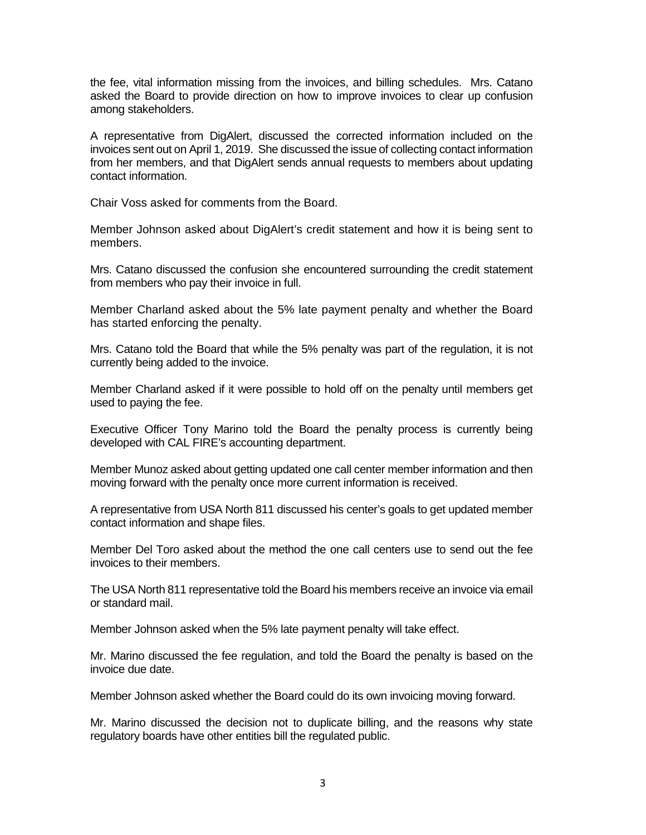the fee, vital information missing from the invoices, and billing schedules. Mrs. Catano asked the Board to provide direction on how to improve invoices to clear up confusion among stakeholders.

 A representative from DigAlert, discussed the corrected information included on the invoices sent out on April 1, 2019. She discussed the issue of collecting contact information from her members, and that DigAlert sends annual requests to members about updating contact information.

Chair Voss asked for comments from the Board.

Member Johnson asked about DigAlert's credit statement and how it is being sent to members.

Mrs. Catano discussed the confusion she encountered surrounding the credit statement from members who pay their invoice in full.

 Member Charland asked about the 5% late payment penalty and whether the Board has started enforcing the penalty.

 Mrs. Catano told the Board that while the 5% penalty was part of the regulation, it is not currently being added to the invoice.

Member Charland asked if it were possible to hold off on the penalty until members get used to paying the fee.

 developed with CAL FIRE's accounting department. Executive Officer Tony Marino told the Board the penalty process is currently being

Member Munoz asked about getting updated one call center member information and then moving forward with the penalty once more current information is received.

A representative from USA North 811 discussed his center's goals to get updated member contact information and shape files.

Member Del Toro asked about the method the one call centers use to send out the fee invoices to their members.

 The USA North 811 representative told the Board his members receive an invoice via email or standard mail.

Member Johnson asked when the 5% late payment penalty will take effect.

Mr. Marino discussed the fee regulation, and told the Board the penalty is based on the invoice due date.

Member Johnson asked whether the Board could do its own invoicing moving forward.

Mr. Marino discussed the decision not to duplicate billing, and the reasons why state regulatory boards have other entities bill the regulated public.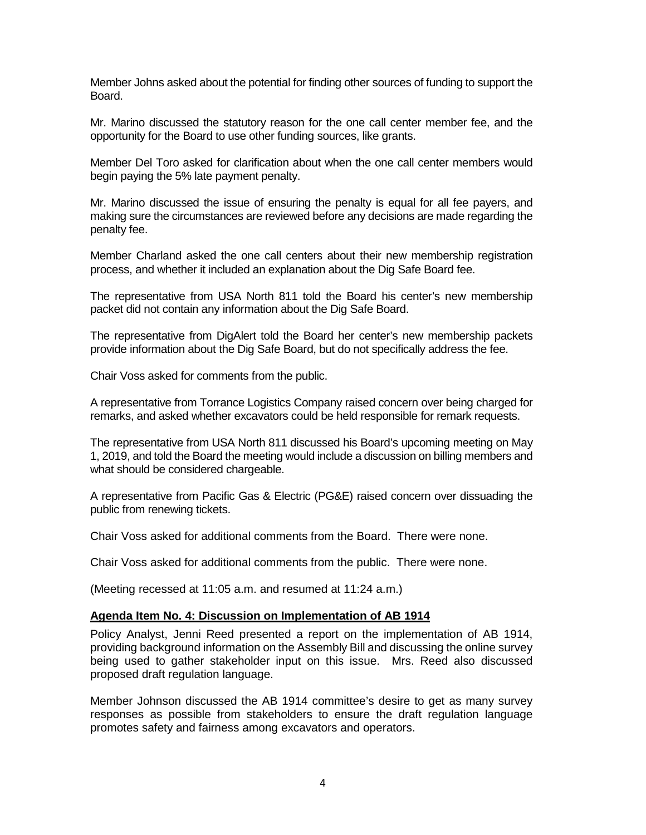Member Johns asked about the potential for finding other sources of funding to support the **Board** 

 Mr. Marino discussed the statutory reason for the one call center member fee, and the opportunity for the Board to use other funding sources, like grants.

Member Del Toro asked for clarification about when the one call center members would begin paying the 5% late payment penalty.

 Mr. Marino discussed the issue of ensuring the penalty is equal for all fee payers, and making sure the circumstances are reviewed before any decisions are made regarding the penalty fee.

Member Charland asked the one call centers about their new membership registration process, and whether it included an explanation about the Dig Safe Board fee.

The representative from USA North 811 told the Board his center's new membership packet did not contain any information about the Dig Safe Board.

 provide information about the Dig Safe Board, but do not specifically address the fee. The representative from DigAlert told the Board her center's new membership packets

Chair Voss asked for comments from the public.

A representative from Torrance Logistics Company raised concern over being charged for remarks, and asked whether excavators could be held responsible for remark requests.

The representative from USA North 811 discussed his Board's upcoming meeting on May 1, 2019, and told the Board the meeting would include a discussion on billing members and what should be considered chargeable.

A representative from Pacific Gas & Electric (PG&E) raised concern over dissuading the public from renewing tickets.

Chair Voss asked for additional comments from the Board. There were none.

Chair Voss asked for additional comments from the public. There were none.

(Meeting recessed at 11:05 a.m. and resumed at 11:24 a.m.)

#### **Agenda Item No. 4: Discussion on Implementation of AB 1914**

 Policy Analyst, Jenni Reed presented a report on the implementation of AB 1914, providing background information on the Assembly Bill and discussing the online survey being used to gather stakeholder input on this issue. Mrs. Reed also discussed proposed draft regulation language.

 Member Johnson discussed the AB 1914 committee's desire to get as many survey responses as possible from stakeholders to ensure the draft regulation language promotes safety and fairness among excavators and operators.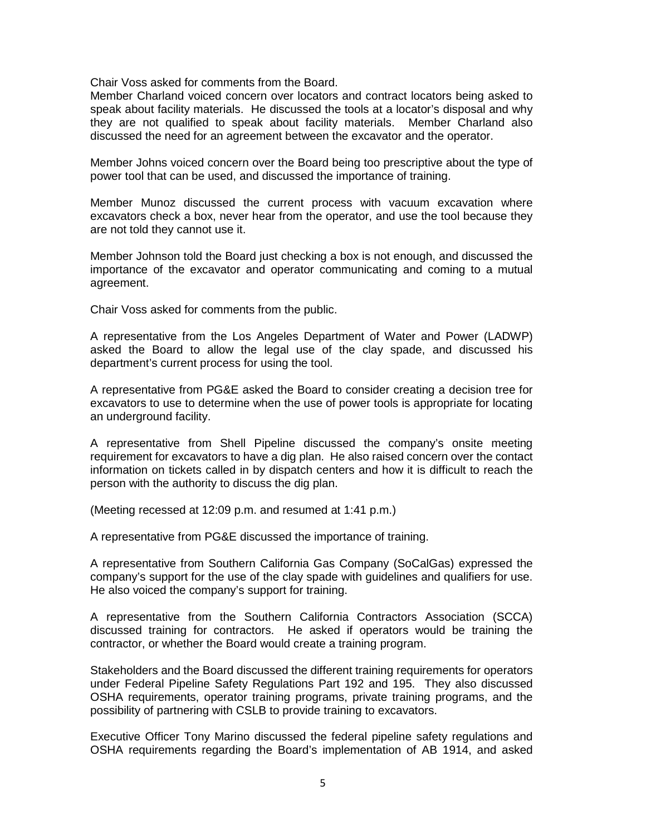Chair Voss asked for comments from the Board.

 Member Charland voiced concern over locators and contract locators being asked to discussed the need for an agreement between the excavator and the operator. speak about facility materials. He discussed the tools at a locator's disposal and why they are not qualified to speak about facility materials. Member Charland also

 Member Johns voiced concern over the Board being too prescriptive about the type of power tool that can be used, and discussed the importance of training.

 excavators check a box, never hear from the operator, and use the tool because they Member Munoz discussed the current process with vacuum excavation where are not told they cannot use it.

 Member Johnson told the Board just checking a box is not enough, and discussed the importance of the excavator and operator communicating and coming to a mutual agreement.

Chair Voss asked for comments from the public.

 A representative from the Los Angeles Department of Water and Power (LADWP) asked the Board to allow the legal use of the clay spade, and discussed his department's current process for using the tool.

 excavators to use to determine when the use of power tools is appropriate for locating A representative from PG&E asked the Board to consider creating a decision tree for an underground facility.

 requirement for excavators to have a dig plan. He also raised concern over the contact person with the authority to discuss the dig plan. A representative from Shell Pipeline discussed the company's onsite meeting information on tickets called in by dispatch centers and how it is difficult to reach the

(Meeting recessed at 12:09 p.m. and resumed at 1:41 p.m.)

A representative from PG&E discussed the importance of training.

 A representative from Southern California Gas Company (SoCalGas) expressed the company's support for the use of the clay spade with guidelines and qualifiers for use. He also voiced the company's support for training.

A representative from the Southern California Contractors Association (SCCA) discussed training for contractors. He asked if operators would be training the contractor, or whether the Board would create a training program.

 Stakeholders and the Board discussed the different training requirements for operators under Federal Pipeline Safety Regulations Part 192 and 195. They also discussed OSHA requirements, operator training programs, private training programs, and the possibility of partnering with CSLB to provide training to excavators.

 Executive Officer Tony Marino discussed the federal pipeline safety regulations and OSHA requirements regarding the Board's implementation of AB 1914, and asked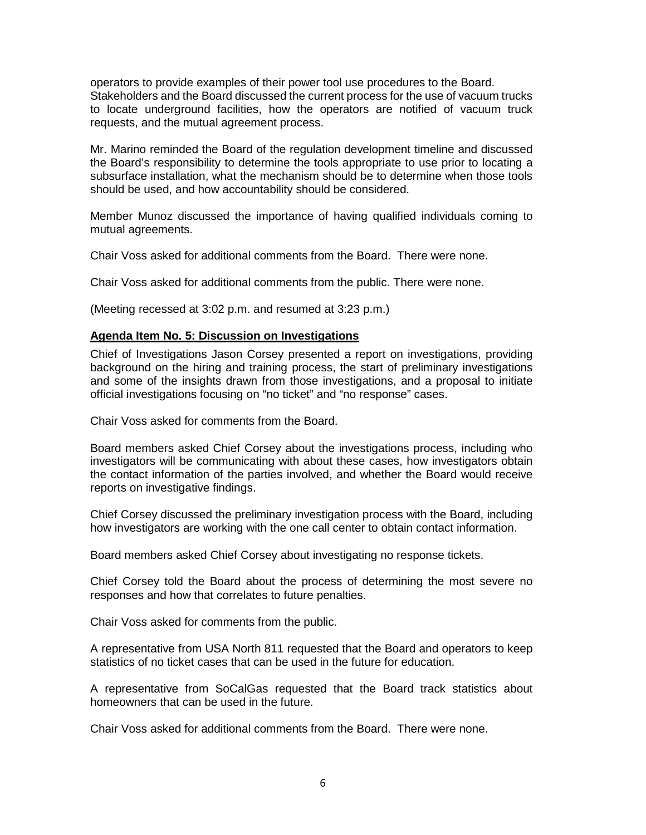operators to provide examples of their power tool use procedures to the Board. Stakeholders and the Board discussed the current process for the use of vacuum trucks to locate underground facilities, how the operators are notified of vacuum truck requests, and the mutual agreement process.

 the Board's responsibility to determine the tools appropriate to use prior to locating a subsurface installation, what the mechanism should be to determine when those tools Mr. Marino reminded the Board of the regulation development timeline and discussed should be used, and how accountability should be considered.

Member Munoz discussed the importance of having qualified individuals coming to mutual agreements.

Chair Voss asked for additional comments from the Board. There were none.

Chair Voss asked for additional comments from the public. There were none.

(Meeting recessed at 3:02 p.m. and resumed at 3:23 p.m.)

## **Agenda Item No. 5: Discussion on Investigations**

 Chief of Investigations Jason Corsey presented a report on investigations, providing background on the hiring and training process, the start of preliminary investigations and some of the insights drawn from those investigations, and a proposal to initiate official investigations focusing on "no ticket" and "no response" cases.

Chair Voss asked for comments from the Board.

Board members asked Chief Corsey about the investigations process, including who investigators will be communicating with about these cases, how investigators obtain the contact information of the parties involved, and whether the Board would receive reports on investigative findings.

Chief Corsey discussed the preliminary investigation process with the Board, including how investigators are working with the one call center to obtain contact information.

Board members asked Chief Corsey about investigating no response tickets.

 Chief Corsey told the Board about the process of determining the most severe no responses and how that correlates to future penalties.

Chair Voss asked for comments from the public.

 A representative from USA North 811 requested that the Board and operators to keep statistics of no ticket cases that can be used in the future for education.

 A representative from SoCalGas requested that the Board track statistics about homeowners that can be used in the future.

Chair Voss asked for additional comments from the Board. There were none.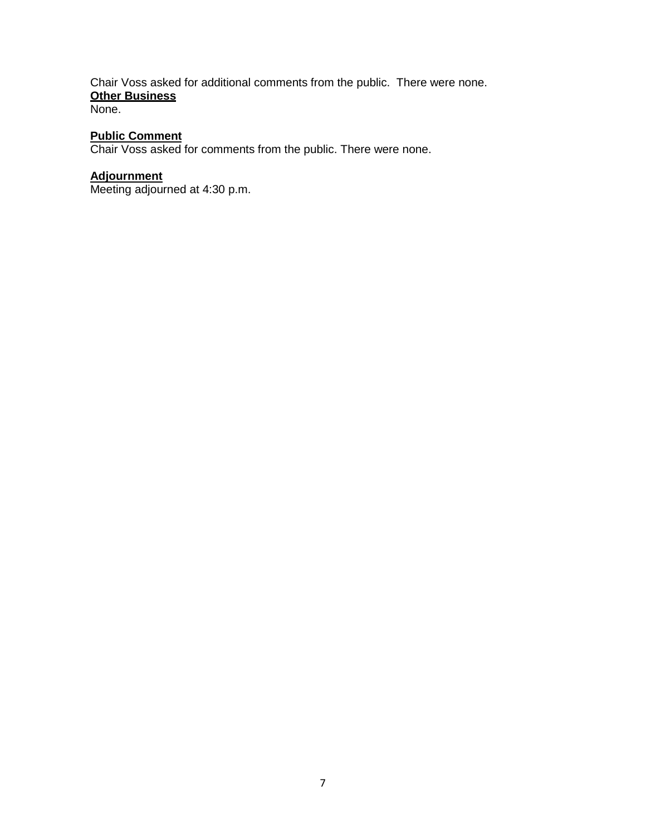# Chair Voss asked for additional comments from the public. There were none. **Other Business**

None.

# **Public Comment**

Chair Voss asked for comments from the public. There were none.

# **Adjournment**

Meeting adjourned at 4:30 p.m.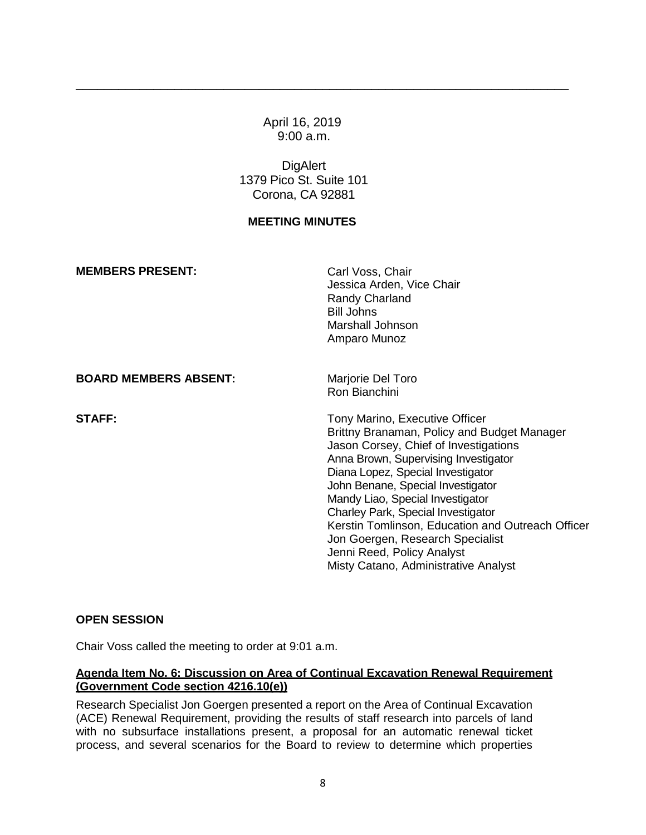April 16, 2019 9:00 a.m.

\_\_\_\_\_\_\_\_\_\_\_\_\_\_\_\_\_\_\_\_\_\_\_\_\_\_\_\_\_\_\_\_\_\_\_\_\_\_\_\_\_\_\_\_\_\_\_\_\_\_\_\_\_\_\_\_\_\_\_\_\_\_\_\_\_\_\_\_\_\_

**DigAlert** 1379 Pico St. Suite 101 Corona, CA 92881

## **MEETING MINUTES**

| <b>MEMBERS PRESENT:</b>      | Carl Voss, Chair<br>Jessica Arden, Vice Chair<br>Randy Charland<br><b>Bill Johns</b><br>Marshall Johnson<br>Amparo Munoz                                                                                                                                                                                                                                                                                                                                                          |
|------------------------------|-----------------------------------------------------------------------------------------------------------------------------------------------------------------------------------------------------------------------------------------------------------------------------------------------------------------------------------------------------------------------------------------------------------------------------------------------------------------------------------|
| <b>BOARD MEMBERS ABSENT:</b> | Marjorie Del Toro<br>Ron Bianchini                                                                                                                                                                                                                                                                                                                                                                                                                                                |
| <b>STAFF:</b>                | Tony Marino, Executive Officer<br>Brittny Branaman, Policy and Budget Manager<br>Jason Corsey, Chief of Investigations<br>Anna Brown, Supervising Investigator<br>Diana Lopez, Special Investigator<br>John Benane, Special Investigator<br>Mandy Liao, Special Investigator<br>Charley Park, Special Investigator<br>Kerstin Tomlinson, Education and Outreach Officer<br>Jon Goergen, Research Specialist<br>Jenni Reed, Policy Analyst<br>Misty Catano, Administrative Analyst |

#### **OPEN SESSION**

Chair Voss called the meeting to order at 9:01 a.m.

## **Agenda Item No. 6: Discussion on Area of Continual Excavation Renewal Requirement (Government Code section 4216.10(e))**

 (ACE) Renewal Requirement, providing the results of staff research into parcels of land with no subsurface installations present, a proposal for an automatic renewal ticket process, and several scenarios for the Board to review to determine which properties Research Specialist Jon Goergen presented a report on the Area of Continual Excavation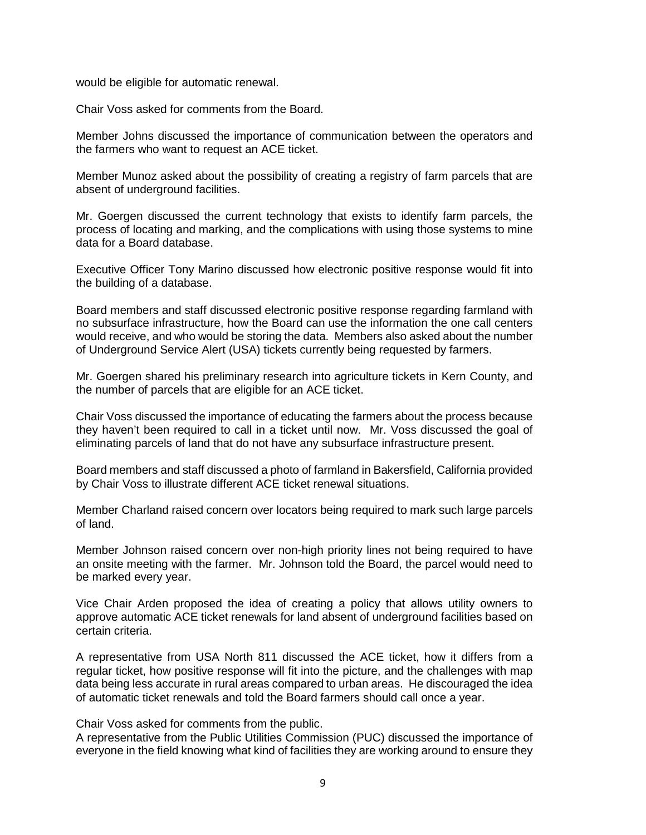would be eligible for automatic renewal.

Chair Voss asked for comments from the Board.

Member Johns discussed the importance of communication between the operators and the farmers who want to request an ACE ticket.

Member Munoz asked about the possibility of creating a registry of farm parcels that are absent of underground facilities.

 Mr. Goergen discussed the current technology that exists to identify farm parcels, the process of locating and marking, and the complications with using those systems to mine data for a Board database.

 Executive Officer Tony Marino discussed how electronic positive response would fit into the building of a database.

 Board members and staff discussed electronic positive response regarding farmland with no subsurface infrastructure, how the Board can use the information the one call centers would receive, and who would be storing the data. Members also asked about the number of Underground Service Alert (USA) tickets currently being requested by farmers.

Mr. Goergen shared his preliminary research into agriculture tickets in Kern County, and the number of parcels that are eligible for an ACE ticket.

 they haven't been required to call in a ticket until now. Mr. Voss discussed the goal of Chair Voss discussed the importance of educating the farmers about the process because eliminating parcels of land that do not have any subsurface infrastructure present.

Board members and staff discussed a photo of farmland in Bakersfield, California provided by Chair Voss to illustrate different ACE ticket renewal situations.

 Member Charland raised concern over locators being required to mark such large parcels of land.

 Member Johnson raised concern over non-high priority lines not being required to have an onsite meeting with the farmer. Mr. Johnson told the Board, the parcel would need to be marked every year.

Vice Chair Arden proposed the idea of creating a policy that allows utility owners to approve automatic ACE ticket renewals for land absent of underground facilities based on certain criteria.

 A representative from USA North 811 discussed the ACE ticket, how it differs from a regular ticket, how positive response will fit into the picture, and the challenges with map data being less accurate in rural areas compared to urban areas. He discouraged the idea of automatic ticket renewals and told the Board farmers should call once a year.

Chair Voss asked for comments from the public.

 A representative from the Public Utilities Commission (PUC) discussed the importance of everyone in the field knowing what kind of facilities they are working around to ensure they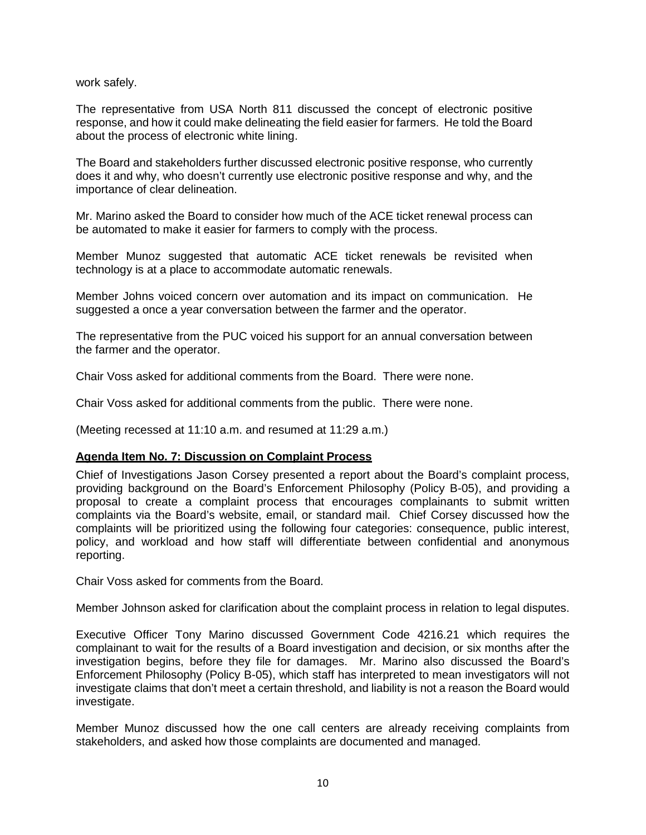work safely.

 response, and how it could make delineating the field easier for farmers. He told the Board The representative from USA North 811 discussed the concept of electronic positive about the process of electronic white lining.

The Board and stakeholders further discussed electronic positive response, who currently does it and why, who doesn't currently use electronic positive response and why, and the importance of clear delineation.

 be automated to make it easier for farmers to comply with the process. Mr. Marino asked the Board to consider how much of the ACE ticket renewal process can

Member Munoz suggested that automatic ACE ticket renewals be revisited when technology is at a place to accommodate automatic renewals.

 Member Johns voiced concern over automation and its impact on communication. He suggested a once a year conversation between the farmer and the operator.

 The representative from the PUC voiced his support for an annual conversation between the farmer and the operator.

Chair Voss asked for additional comments from the Board. There were none.

Chair Voss asked for additional comments from the public. There were none.

(Meeting recessed at 11:10 a.m. and resumed at 11:29 a.m.)

#### **Agenda Item No. 7: Discussion on Complaint Process**

 Chief of Investigations Jason Corsey presented a report about the Board's complaint process, providing background on the Board's Enforcement Philosophy (Policy B-05), and providing a complaints via the Board's website, email, or standard mail. Chief Corsey discussed how the complaints will be prioritized using the following four categories: consequence, public interest, proposal to create a complaint process that encourages complainants to submit written policy, and workload and how staff will differentiate between confidential and anonymous reporting.

Chair Voss asked for comments from the Board.

Member Johnson asked for clarification about the complaint process in relation to legal disputes.

 Executive Officer Tony Marino discussed Government Code 4216.21 which requires the complainant to wait for the results of a Board investigation and decision, or six months after the investigation begins, before they file for damages. Mr. Marino also discussed the Board's Enforcement Philosophy (Policy B-05), which staff has interpreted to mean investigators will not investigate claims that don't meet a certain threshold, and liability is not a reason the Board would investigate.

 Member Munoz discussed how the one call centers are already receiving complaints from stakeholders, and asked how those complaints are documented and managed.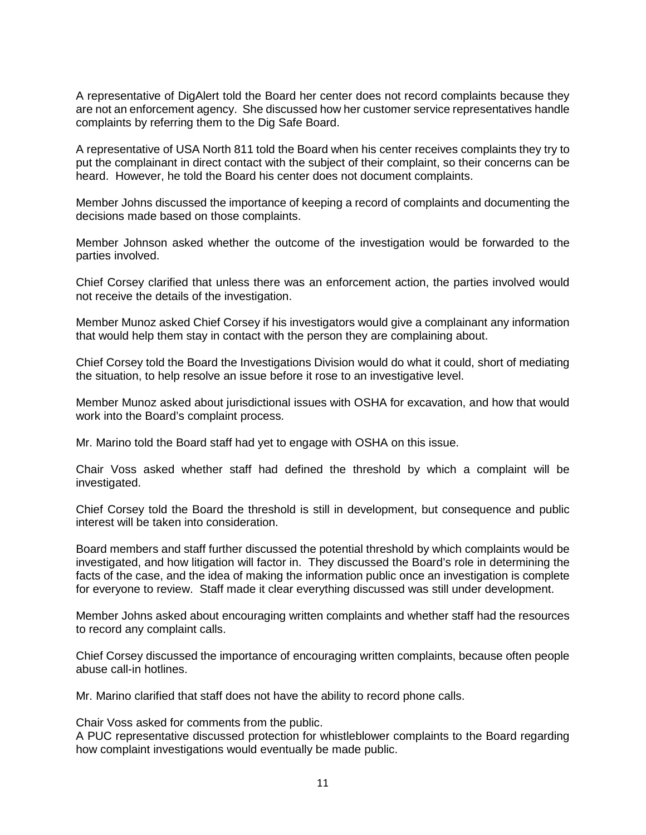A representative of DigAlert told the Board her center does not record complaints because they are not an enforcement agency. She discussed how her customer service representatives handle complaints by referring them to the Dig Safe Board.

 A representative of USA North 811 told the Board when his center receives complaints they try to put the complainant in direct contact with the subject of their complaint, so their concerns can be heard. However, he told the Board his center does not document complaints.

 Member Johns discussed the importance of keeping a record of complaints and documenting the decisions made based on those complaints.

Member Johnson asked whether the outcome of the investigation would be forwarded to the parties involved.

 Chief Corsey clarified that unless there was an enforcement action, the parties involved would not receive the details of the investigation.

Member Munoz asked Chief Corsey if his investigators would give a complainant any information that would help them stay in contact with the person they are complaining about.

Chief Corsey told the Board the Investigations Division would do what it could, short of mediating the situation, to help resolve an issue before it rose to an investigative level.

 Member Munoz asked about jurisdictional issues with OSHA for excavation, and how that would work into the Board's complaint process.

Mr. Marino told the Board staff had yet to engage with OSHA on this issue.

Chair Voss asked whether staff had defined the threshold by which a complaint will be investigated.

 Chief Corsey told the Board the threshold is still in development, but consequence and public interest will be taken into consideration.

 investigated, and how litigation will factor in. They discussed the Board's role in determining the facts of the case, and the idea of making the information public once an investigation is complete for everyone to review. Staff made it clear everything discussed was still under development. Board members and staff further discussed the potential threshold by which complaints would be

 to record any complaint calls. Member Johns asked about encouraging written complaints and whether staff had the resources

 Chief Corsey discussed the importance of encouraging written complaints, because often people abuse call-in hotlines.

Mr. Marino clarified that staff does not have the ability to record phone calls.

Chair Voss asked for comments from the public.

A PUC representative discussed protection for whistleblower complaints to the Board regarding how complaint investigations would eventually be made public.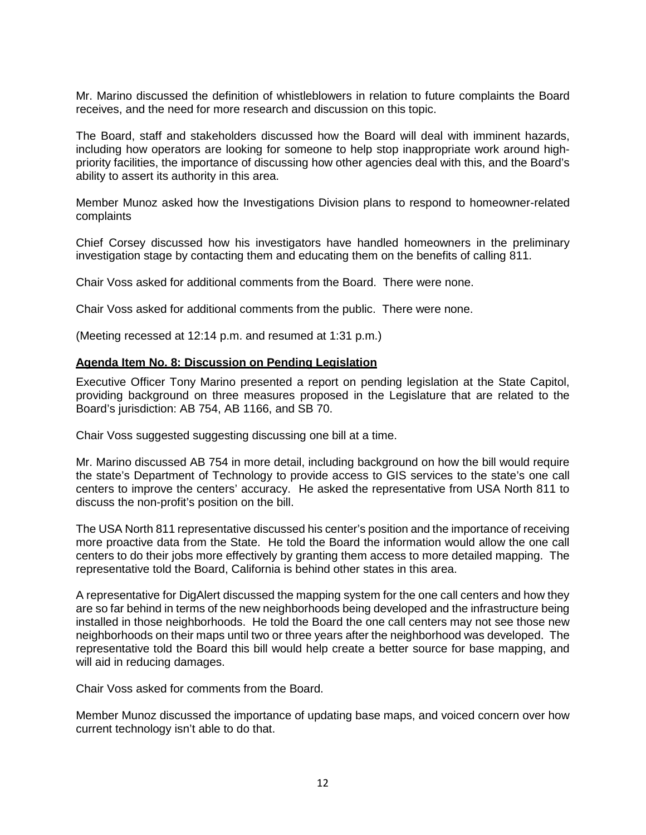receives, and the need for more research and discussion on this topic. Mr. Marino discussed the definition of whistleblowers in relation to future complaints the Board

 including how operators are looking for someone to help stop inappropriate work around high-The Board, staff and stakeholders discussed how the Board will deal with imminent hazards, priority facilities, the importance of discussing how other agencies deal with this, and the Board's ability to assert its authority in this area.

 Member Munoz asked how the Investigations Division plans to respond to homeowner-related complaints

 investigation stage by contacting them and educating them on the benefits of calling 811. Chief Corsey discussed how his investigators have handled homeowners in the preliminary

Chair Voss asked for additional comments from the Board. There were none.

Chair Voss asked for additional comments from the public. There were none.

(Meeting recessed at 12:14 p.m. and resumed at 1:31 p.m.)

#### **Agenda Item No. 8: Discussion on Pending Legislation**

 Executive Officer Tony Marino presented a report on pending legislation at the State Capitol, providing background on three measures proposed in the Legislature that are related to the Board's jurisdiction: AB 754, AB 1166, and SB 70.

Chair Voss suggested suggesting discussing one bill at a time.

 Mr. Marino discussed AB 754 in more detail, including background on how the bill would require the state's Department of Technology to provide access to GIS services to the state's one call centers to improve the centers' accuracy. He asked the representative from USA North 811 to discuss the non-profit's position on the bill.

 The USA North 811 representative discussed his center's position and the importance of receiving centers to do their jobs more effectively by granting them access to more detailed mapping. The more proactive data from the State. He told the Board the information would allow the one call representative told the Board, California is behind other states in this area.

 A representative for DigAlert discussed the mapping system for the one call centers and how they are so far behind in terms of the new neighborhoods being developed and the infrastructure being installed in those neighborhoods. He told the Board the one call centers may not see those new neighborhoods on their maps until two or three years after the neighborhood was developed. The representative told the Board this bill would help create a better source for base mapping, and will aid in reducing damages.

Chair Voss asked for comments from the Board.

Member Munoz discussed the importance of updating base maps, and voiced concern over how current technology isn't able to do that.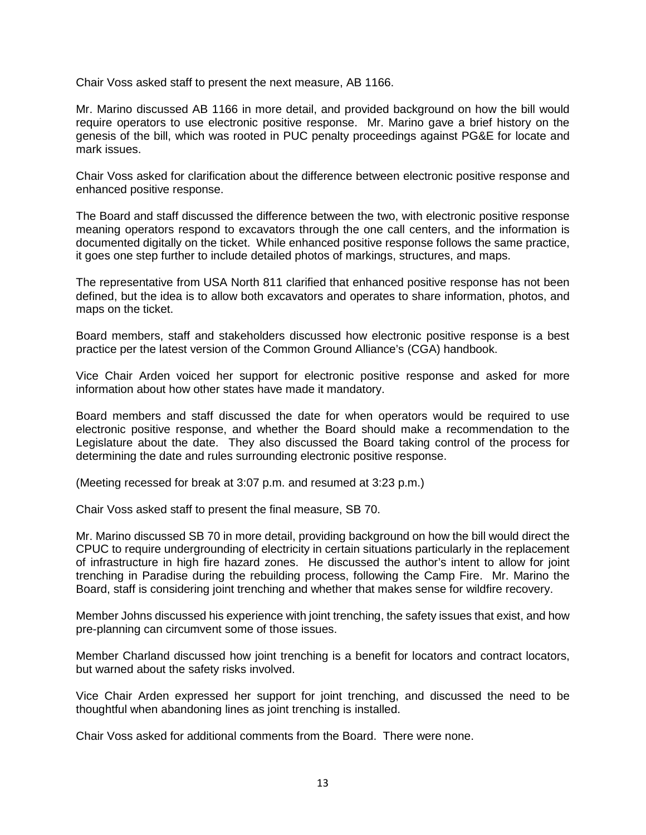Chair Voss asked staff to present the next measure, AB 1166.

 Mr. Marino discussed AB 1166 in more detail, and provided background on how the bill would require operators to use electronic positive response. Mr. Marino gave a brief history on the genesis of the bill, which was rooted in PUC penalty proceedings against PG&E for locate and mark issues.

 Chair Voss asked for clarification about the difference between electronic positive response and enhanced positive response.

 meaning operators respond to excavators through the one call centers, and the information is documented digitally on the ticket. While enhanced positive response follows the same practice, The Board and staff discussed the difference between the two, with electronic positive response it goes one step further to include detailed photos of markings, structures, and maps.

The representative from USA North 811 clarified that enhanced positive response has not been defined, but the idea is to allow both excavators and operates to share information, photos, and maps on the ticket.

 practice per the latest version of the Common Ground Alliance's (CGA) handbook. Board members, staff and stakeholders discussed how electronic positive response is a best

 Vice Chair Arden voiced her support for electronic positive response and asked for more information about how other states have made it mandatory.

 Board members and staff discussed the date for when operators would be required to use electronic positive response, and whether the Board should make a recommendation to the Legislature about the date. They also discussed the Board taking control of the process for determining the date and rules surrounding electronic positive response.

(Meeting recessed for break at 3:07 p.m. and resumed at 3:23 p.m.)

Chair Voss asked staff to present the final measure, SB 70.

 trenching in Paradise during the rebuilding process, following the Camp Fire. Mr. Marino the Mr. Marino discussed SB 70 in more detail, providing background on how the bill would direct the CPUC to require undergrounding of electricity in certain situations particularly in the replacement of infrastructure in high fire hazard zones. He discussed the author's intent to allow for joint Board, staff is considering joint trenching and whether that makes sense for wildfire recovery.

Member Johns discussed his experience with joint trenching, the safety issues that exist, and how pre-planning can circumvent some of those issues.

Member Charland discussed how joint trenching is a benefit for locators and contract locators, but warned about the safety risks involved.

 Vice Chair Arden expressed her support for joint trenching, and discussed the need to be thoughtful when abandoning lines as joint trenching is installed.

Chair Voss asked for additional comments from the Board. There were none.